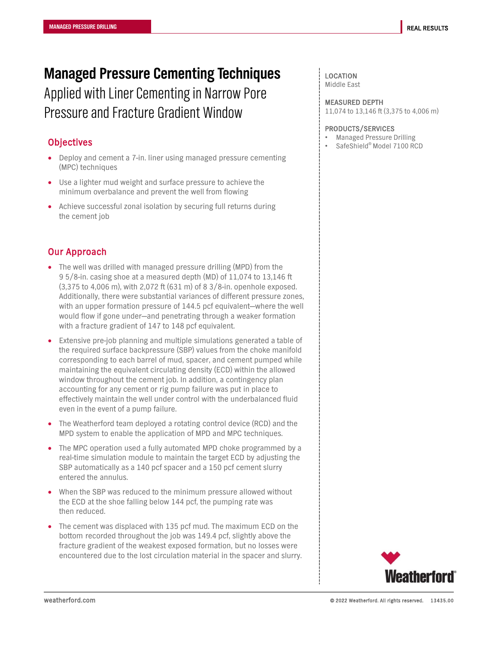# **Managed Pressure Cementing Techniques**

Applied with Liner Cementing in Narrow Pore Pressure and Fracture Gradient Window

#### **Objectives**

- Deploy and cement a 7-in. liner using managed pressure cementing (MPC) techniques
- Use a lighter mud weight and surface pressure to achieve the minimum overbalance and prevent the well from flowing
- Achieve successful zonal isolation by securing full returns during the cement job

### Our Approach

- The well was drilled with managed pressure drilling (MPD) from the 9 5/8-in. casing shoe at a measured depth (MD) of 11,074 to 13,146 ft (3,375 to 4,006 m), with 2,072 ft (631 m) of 8 3/8-in. openhole exposed. Additionally, there were substantial variances of different pressure zones, with an upper formation pressure of 144.5 pcf equivalent—where the well would flow if gone under—and penetrating through a weaker formation with a fracture gradient of 147 to 148 pcf equivalent.
- Extensive pre-job planning and multiple simulations generated a table of the required surface backpressure (SBP) values from the choke manifold corresponding to each barrel of mud, spacer, and cement pumped while maintaining the equivalent circulating density (ECD) within the allowed window throughout the cement job. In addition, a contingency plan accounting for any cement or rig pump failure was put in place to effectively maintain the well under control with the underbalanced fluid even in the event of a pump failure.
- The Weatherford team deployed a rotating control device (RCD) and the MPD system to enable the application of MPD and MPC techniques.
- The MPC operation used a fully automated MPD choke programmed by a real-time simulation module to maintain the target ECD by adjusting the SBP automatically as a 140 pcf spacer and a 150 pcf cement slurry entered the annulus.
- When the SBP was reduced to the minimum pressure allowed without the ECD at the shoe falling below 144 pcf, the pumping rate was then reduced.
- The cement was displaced with 135 pcf mud. The maximum ECD on the bottom recorded throughout the job was 149.4 pcf, slightly above the fracture gradient of the weakest exposed formation, but no losses were encountered due to the lost circulation material in the spacer and slurry.

#### LOCATION

Middle East

#### MEASURED DEPTH

11,074 to 13,146 ft (3,375 to 4,006 m)

#### PRODUCTS/SERVICES

- Managed Pressure Drilling
- SafeShield® Model 7100 RCD